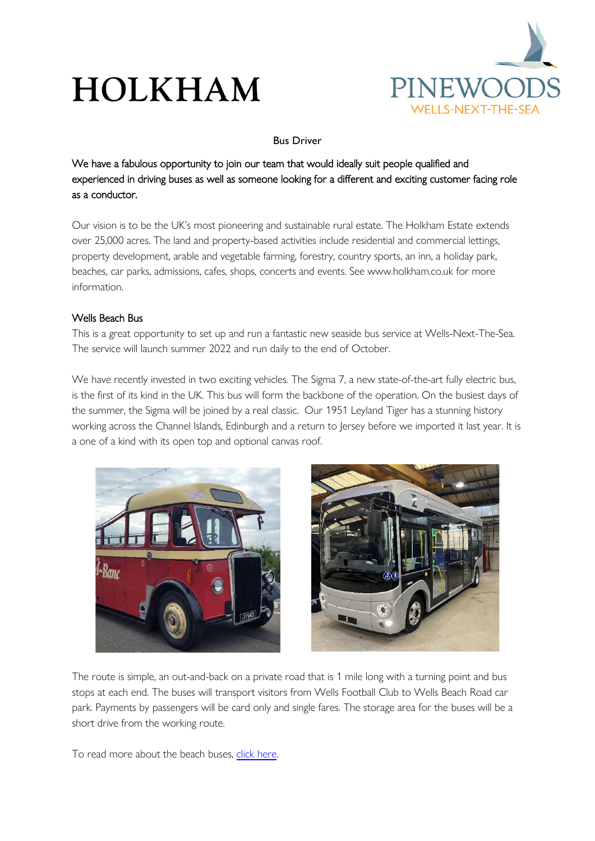



## Bus Driver

We have a fabulous opportunity to join our team that would ideally suit people qualified and experienced in driving buses as well as someone looking for a different and exciting customer facing role as a conductor.

Our vision is to be the UK's most pioneering and sustainable rural estate. The Holkham Estate extends over 25,000 acres. The land and property-based activities include residential and commercial lettings, property development, arable and vegetable farming, forestry, country sports, an inn, a holiday park, beaches, car parks, admissions, cafes, shops, concerts and events. See www.holkham.co.uk for more information.

## Wells Beach Bus

This is a great opportunity to set up and run a fantastic new seaside bus service at Wells-Next-The-Sea. The service will launch summer 2022 and run daily to the end of October.

We have recently invested in two exciting vehicles. The Sigma 7, a new state-of-the-art fully electric bus, is the first of its kind in the UK. This bus will form the backbone of the operation. On the busiest days of the summer, the Sigma will be joined by a real classic. Our 1951 Leyland Tiger has a stunning history working across the Channel Islands, Edinburgh and a return to Jersey before we imported it last year. It is a one of a kind with its open top and optional canvas roof.





The route is simple, an out-and-back on a private road that is 1 mile long with a turning point and bus stops at each end. The buses will transport visitors from Wells Football Club to Wells Beach Road car park. Payments by passengers will be card only and single fares. The storage area for the buses will be a short drive from the working route.

To read more about the beach buses, [click here.](https://www.holkham.co.uk/blog/post/wells-beach-shuttle-bus)